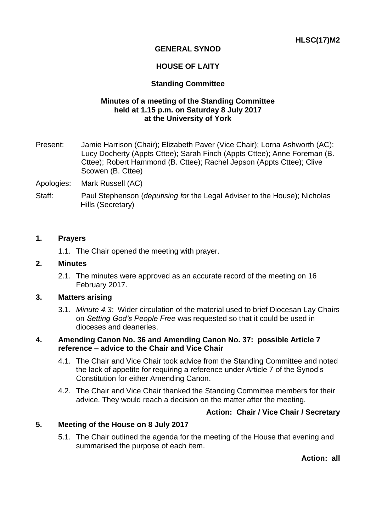# **GENERAL SYNOD**

## **HOUSE OF LAITY**

### **Standing Committee**

### **Minutes of a meeting of the Standing Committee held at 1.15 p.m. on Saturday 8 July 2017 at the University of York**

- Present: Jamie Harrison (Chair); Elizabeth Paver (Vice Chair); Lorna Ashworth (AC); Lucy Docherty (Appts Cttee); Sarah Finch (Appts Cttee); Anne Foreman (B. Cttee); Robert Hammond (B. Cttee); Rachel Jepson (Appts Cttee); Clive Scowen (B. Cttee)
- Apologies: Mark Russell (AC)
- Staff: Paul Stephenson (*deputising for* the Legal Adviser to the House); Nicholas Hills (Secretary)

### **1. Prayers**

1.1. The Chair opened the meeting with prayer.

#### **2. Minutes**

2.1. The minutes were approved as an accurate record of the meeting on 16 February 2017.

#### **3. Matters arising**

3.1. *Minute 4.3:* Wider circulation of the material used to brief Diocesan Lay Chairs on *Setting God's People Free* was requested so that it could be used in dioceses and deaneries.

### **4. Amending Canon No. 36 and Amending Canon No. 37: possible Article 7 reference – advice to the Chair and Vice Chair**

- 4.1. The Chair and Vice Chair took advice from the Standing Committee and noted the lack of appetite for requiring a reference under Article 7 of the Synod's Constitution for either Amending Canon.
- 4.2. The Chair and Vice Chair thanked the Standing Committee members for their advice. They would reach a decision on the matter after the meeting.

### **Action: Chair / Vice Chair / Secretary**

#### **5. Meeting of the House on 8 July 2017**

5.1. The Chair outlined the agenda for the meeting of the House that evening and summarised the purpose of each item.

**Action: all**